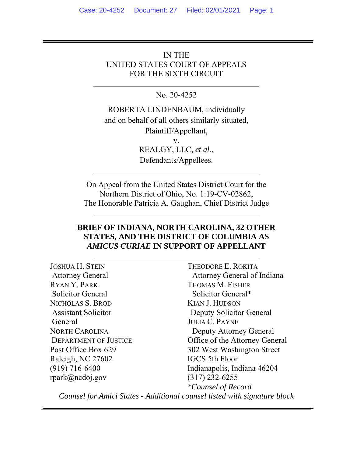IN THE UNITED STATES COURT OF APPEALS FOR THE SIXTH CIRCUIT

No. 20-4252

ROBERTA LINDENBAUM, individually and on behalf of all others similarly situated, Plaintiff/Appellant, v. REALGY, LLC, *et al.*, Defendants/Appellees.

On Appeal from the United States District Court for the Northern District of Ohio, No. 1:19-CV-02862, The Honorable Patricia A. Gaughan, Chief District Judge

### **BRIEF OF INDIANA, NORTH CAROLINA, 32 OTHER STATES, AND THE DISTRICT OF COLUMBIA AS** *AMICUS CURIAE* **IN SUPPORT OF APPELLANT**

| <b>JOSHUA H. STEIN</b>       | THEODORE E. ROKITA                                                        |
|------------------------------|---------------------------------------------------------------------------|
| <b>Attorney General</b>      | Attorney General of Indiana                                               |
| RYAN Y. PARK                 | THOMAS M. FISHER                                                          |
| <b>Solicitor General</b>     | Solicitor General*                                                        |
| NICHOLAS S. BROD             | <b>KIAN J. HUDSON</b>                                                     |
| <b>Assistant Solicitor</b>   | Deputy Solicitor General                                                  |
| General                      | <b>JULIA C. PAYNE</b>                                                     |
| <b>NORTH CAROLINA</b>        | Deputy Attorney General                                                   |
| <b>DEPARTMENT OF JUSTICE</b> | Office of the Attorney General                                            |
| Post Office Box 629          | 302 West Washington Street                                                |
| Raleigh, NC 27602            | <b>IGCS</b> 5th Floor                                                     |
| $(919)$ 716-6400             | Indianapolis, Indiana 46204                                               |
| rpark@ncdoj.gov              | $(317)$ 232-6255                                                          |
|                              | <i>*Counsel of Record</i>                                                 |
|                              | Counsel for Amici States - Additional counsel listed with signature block |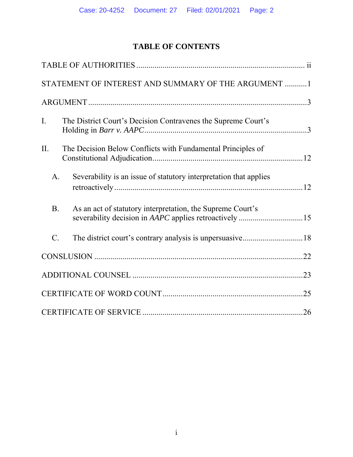## **TABLE OF CONTENTS**

|                 | STATEMENT OF INTEREST AND SUMMARY OF THE ARGUMENT  1                                                                 |  |
|-----------------|----------------------------------------------------------------------------------------------------------------------|--|
|                 |                                                                                                                      |  |
| $\mathbf{I}$ .  | The District Court's Decision Contravenes the Supreme Court's                                                        |  |
| II.             | The Decision Below Conflicts with Fundamental Principles of                                                          |  |
| A.              | Severability is an issue of statutory interpretation that applies                                                    |  |
| <b>B.</b>       | As an act of statutory interpretation, the Supreme Court's<br>severability decision in AAPC applies retroactively 15 |  |
| $\mathcal{C}$ . | The district court's contrary analysis is unpersuasive18                                                             |  |
|                 |                                                                                                                      |  |
|                 |                                                                                                                      |  |
|                 |                                                                                                                      |  |
|                 |                                                                                                                      |  |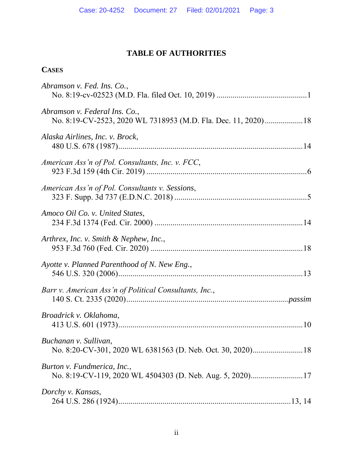# **TABLE OF AUTHORITIES**

### **CASES**

| Abramson v. Fed. Ins. Co.,                                                                     |
|------------------------------------------------------------------------------------------------|
| Abramson v. Federal Ins. Co.,<br>No. 8:19-CV-2523, 2020 WL 7318953 (M.D. Fla. Dec. 11, 2020)18 |
| Alaska Airlines, Inc. v. Brock,                                                                |
| American Ass'n of Pol. Consultants, Inc. v. FCC,                                               |
| American Ass'n of Pol. Consultants v. Sessions,                                                |
| Amoco Oil Co. v. United States,                                                                |
| Arthrex, Inc. v. Smith & Nephew, Inc.,                                                         |
| Ayotte v. Planned Parenthood of N. New Eng.,                                                   |
| Barr v. American Ass'n of Political Consultants, Inc.,                                         |
| Broadrick v. Oklahoma,                                                                         |
| Buchanan v. Sullivan,                                                                          |
| Burton v. Fundmerica, Inc.,<br>No. 8:19-CV-119, 2020 WL 4504303 (D. Neb. Aug. 5, 2020)17       |
| Dorchy v. Kansas,                                                                              |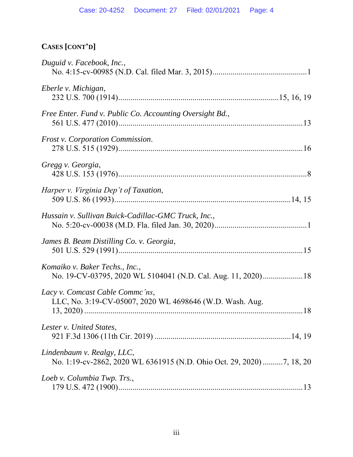# **CASES [CONT'D]**

| Duguid v. Facebook, Inc.,                                                                           |
|-----------------------------------------------------------------------------------------------------|
| Eberle v. Michigan,                                                                                 |
| Free Enter. Fund v. Public Co. Accounting Oversight Bd.,                                            |
| <b>Frost v. Corporation Commission.</b>                                                             |
| Gregg v. Georgia,                                                                                   |
| Harper v. Virginia Dep't of Taxation,                                                               |
| Hussain v. Sullivan Buick-Cadillac-GMC Truck, Inc.,                                                 |
| James B. Beam Distilling Co. v. Georgia,                                                            |
| Komaiko v. Baker Techs., Inc.,<br>No. 19-CV-03795, 2020 WL 5104041 (N.D. Cal. Aug. 11, 2020)18      |
| Lacy v. Comcast Cable Commc'ns,<br>LLC, No. 3:19-CV-05007, 2020 WL 4698646 (W.D. Wash. Aug.         |
| Lester v. United States,                                                                            |
| Lindenbaum v. Realgy, LLC,<br>No. 1:19-cv-2862, 2020 WL 6361915 (N.D. Ohio Oct. 29, 2020) 7, 18, 20 |
| Loeb v. Columbia Twp. Trs.,                                                                         |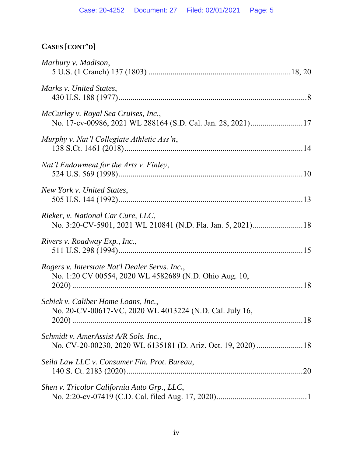# **CASES [CONT'D]**

| Marbury v. Madison,                                                                                      |
|----------------------------------------------------------------------------------------------------------|
| Marks v. United States,                                                                                  |
| McCurley v. Royal Sea Cruises, Inc.,                                                                     |
| Murphy v. Nat'l Collegiate Athletic Ass'n,                                                               |
| Nat'l Endowment for the Arts v. Finley,                                                                  |
| New York v. United States,                                                                               |
| Rieker, v. National Car Cure, LLC,                                                                       |
| Rivers v. Roadway Exp., Inc.,                                                                            |
| Rogers v. Interstate Nat'l Dealer Servs. Inc.,<br>No. 1:20 CV 00554, 2020 WL 4582689 (N.D. Ohio Aug. 10, |
| Schick v. Caliber Home Loans, Inc.,<br>No. 20-CV-00617-VC, 2020 WL 4013224 (N.D. Cal. July 16,           |
| Schmidt v. AmerAssist A/R Sols. Inc.,                                                                    |
| Seila Law LLC v. Consumer Fin. Prot. Bureau,                                                             |
| Shen v. Tricolor California Auto Grp., LLC,                                                              |
|                                                                                                          |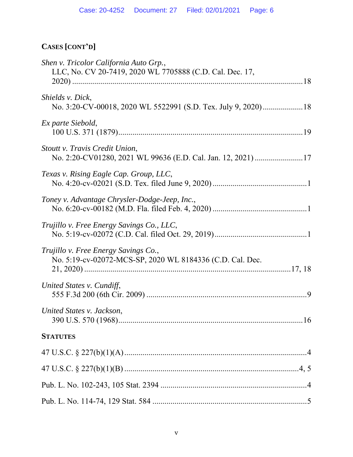# **CASES [CONT'D]**

| Shen v. Tricolor California Auto Grp.,<br>LLC, No. CV 20-7419, 2020 WL 7705888 (C.D. Cal. Dec. 17, |  |
|----------------------------------------------------------------------------------------------------|--|
| <i>Shields v. Dick,</i><br>No. 3:20-CV-00018, 2020 WL 5522991 (S.D. Tex. July 9, 2020)18           |  |
| Ex parte Siebold,                                                                                  |  |
| Stoutt v. Travis Credit Union,<br>No. 2:20-CV01280, 2021 WL 99636 (E.D. Cal. Jan. 12, 2021) 17     |  |
| Texas v. Rising Eagle Cap. Group, LLC,                                                             |  |
| Toney v. Advantage Chrysler-Dodge-Jeep, Inc.,                                                      |  |
| Trujillo v. Free Energy Savings Co., LLC,                                                          |  |
| Trujillo v. Free Energy Savings Co.,<br>No. 5:19-cv-02072-MCS-SP, 2020 WL 8184336 (C.D. Cal. Dec.  |  |
| United States v. Cundiff,                                                                          |  |
| United States v. Jackson,                                                                          |  |
| <b>STATUTES</b>                                                                                    |  |
|                                                                                                    |  |
|                                                                                                    |  |
|                                                                                                    |  |
|                                                                                                    |  |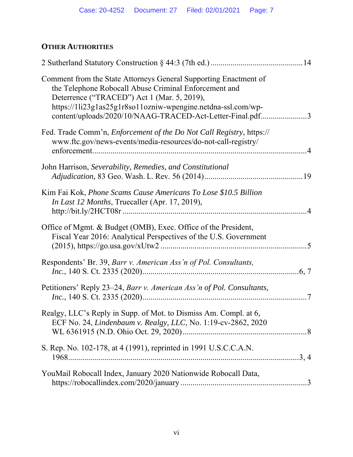## **OTHER AUTHORITIES**

| Comment from the State Attorneys General Supporting Enactment of<br>the Telephone Robocall Abuse Criminal Enforcement and<br>Deterrence ("TRACED") Act 1 (Mar. 5, 2019),<br>https://1li23g1as25g1r8so11ozniw-wpengine.netdna-ssl.com/wp-<br>content/uploads/2020/10/NAAG-TRACED-Act-Letter-Final.pdf3 |  |
|-------------------------------------------------------------------------------------------------------------------------------------------------------------------------------------------------------------------------------------------------------------------------------------------------------|--|
| Fed. Trade Comm'n, <i>Enforcement of the Do Not Call Registry</i> , https://<br>www.ftc.gov/news-events/media-resources/do-not-call-registry/                                                                                                                                                         |  |
| John Harrison, Severability, Remedies, and Constitutional                                                                                                                                                                                                                                             |  |
| Kim Fai Kok, Phone Scams Cause Americans To Lose \$10.5 Billion<br>In Last 12 Months, Truecaller (Apr. 17, 2019),                                                                                                                                                                                     |  |
| Office of Mgmt. & Budget (OMB), Exec. Office of the President,<br>Fiscal Year 2016: Analytical Perspectives of the U.S. Government                                                                                                                                                                    |  |
| Respondents' Br. 39, Barr v. American Ass'n of Pol. Consultants,                                                                                                                                                                                                                                      |  |
| Petitioners' Reply 23–24, Barr v. American Ass'n of Pol. Consultants,                                                                                                                                                                                                                                 |  |
| Realgy, LLC's Reply in Supp. of Mot. to Dismiss Am. Compl. at 6,<br>ECF No. 24, Lindenbaum v. Realgy, LLC, No. 1:19-cv-2862, 2020                                                                                                                                                                     |  |
| S. Rep. No. 102-178, at 4 (1991), reprinted in 1991 U.S.C.C.A.N.                                                                                                                                                                                                                                      |  |
| YouMail Robocall Index, January 2020 Nationwide Robocall Data,                                                                                                                                                                                                                                        |  |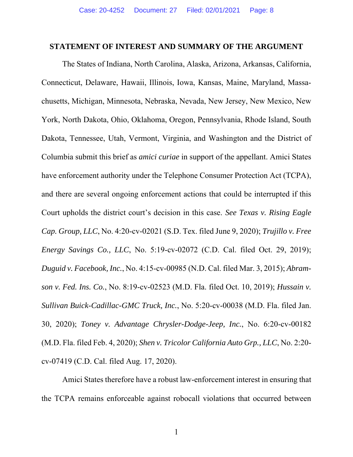#### **STATEMENT OF INTEREST AND SUMMARY OF THE ARGUMENT**

<span id="page-7-4"></span>The States of Indiana, North Carolina, Alaska, Arizona, Arkansas, California, Connecticut, Delaware, Hawaii, Illinois, Iowa, Kansas, Maine, Maryland, Massachusetts, Michigan, Minnesota, Nebraska, Nevada, New Jersey, New Mexico, New York, North Dakota, Ohio, Oklahoma, Oregon, Pennsylvania, Rhode Island, South Dakota, Tennessee, Utah, Vermont, Virginia, and Washington and the District of Columbia submit this brief as *amici curiae* in support of the appellant. Amici States have enforcement authority under the Telephone Consumer Protection Act (TCPA), and there are several ongoing enforcement actions that could be interrupted if this Court upholds the district court's decision in this case. *See Texas v. Rising Eagle Cap. Group, LLC*, No. 4:20-cv-02021 (S.D. Tex. filed June 9, 2020); *Trujillo v. Free Energy Savings Co., LLC*, No. 5:19-cv-02072 (C.D. Cal. filed Oct. 29, 2019); *Duguid v. Facebook, Inc.*, No. 4:15-cv-00985 (N.D. Cal. filed Mar. 3, 2015); *Abramson v. Fed. Ins. Co.*, No. 8:19-cv-02523 (M.D. Fla. filed Oct. 10, 2019); *Hussain v. Sullivan Buick-Cadillac-GMC Truck, Inc.*, No. 5:20-cv-00038 (M.D. Fla. filed Jan. 30, 2020); *Toney v. Advantage Chrysler-Dodge-Jeep, Inc.*, No. 6:20-cv-00182 (M.D. Fla. filed Feb. 4, 2020); *Shen v. Tricolor California Auto Grp., LLC*, No. 2:20 cv-07419 (C.D. Cal. filed Aug. 17, 2020).

<span id="page-7-6"></span><span id="page-7-5"></span><span id="page-7-3"></span><span id="page-7-2"></span><span id="page-7-1"></span><span id="page-7-0"></span>Amici States therefore have a robust law-enforcement interest in ensuring that the TCPA remains enforceable against robocall violations that occurred between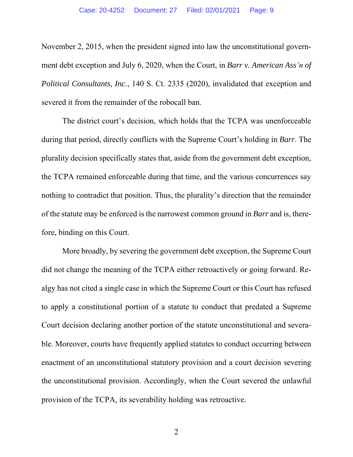<span id="page-8-0"></span>November 2, 2015, when the president signed into law the unconstitutional government debt exception and July 6, 2020, when the Court, in *Barr v. American Ass'n of Political Consultants, Inc.*, 140 S. Ct. 2335 (2020), invalidated that exception and severed it from the remainder of the robocall ban.

The district court's decision, which holds that the TCPA was unenforceable during that period, directly conflicts with the Supreme Court's holding in *Barr*. The plurality decision specifically states that, aside from the government debt exception, the TCPA remained enforceable during that time, and the various concurrences say nothing to contradict that position. Thus, the plurality's direction that the remainder of the statute may be enforced is the narrowest common ground in *Barr* and is, therefore, binding on this Court.

More broadly, by severing the government debt exception, the Supreme Court did not change the meaning of the TCPA either retroactively or going forward. Realgy has not cited a single case in which the Supreme Court or this Court has refused to apply a constitutional portion of a statute to conduct that predated a Supreme Court decision declaring another portion of the statute unconstitutional and severable. Moreover, courts have frequently applied statutes to conduct occurring between enactment of an unconstitutional statutory provision and a court decision severing the unconstitutional provision. Accordingly, when the Court severed the unlawful provision of the TCPA, its severability holding was retroactive.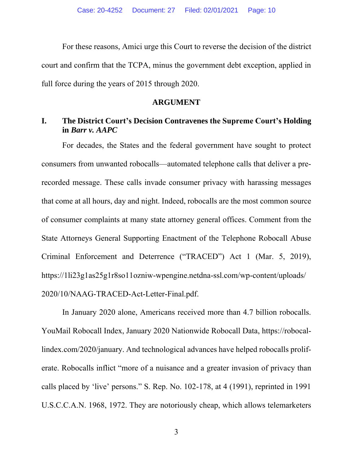For these reasons, Amici urge this Court to reverse the decision of the district court and confirm that the TCPA, minus the government debt exception, applied in full force during the years of 2015 through 2020.

#### <span id="page-9-0"></span>**ARGUMENT**

#### **I. The District Court's Decision Contravenes the Supreme Court's Holding in** *Barr v. AAPC*

For decades, the States and the federal government have sought to protect consumers from unwanted robocalls—automated telephone calls that deliver a prerecorded message. These calls invade consumer privacy with harassing messages that come at all hours, day and night. Indeed, robocalls are the most common source of consumer complaints at many state attorney general offices. Comment from the State Attorneys General Supporting Enactment of the Telephone Robocall Abuse Criminal Enforcement and Deterrence ("TRACED") Act 1 (Mar. 5, 2019), https://1li23g1as25g1r8so11ozniw-wpengine.netdna-ssl.com/wp-content/uploads/ 2020/10/NAAG-TRACED-Act-Letter-Final.pdf.

<span id="page-9-2"></span><span id="page-9-1"></span>In January 2020 alone, Americans received more than 4.7 billion robocalls. YouMail Robocall Index, January 2020 Nationwide Robocall Data, https://robocallindex.com/2020/january. And technological advances have helped robocalls proliferate. Robocalls inflict "more of a nuisance and a greater invasion of privacy than calls placed by 'live' persons." S. Rep. No. 102-178, at 4 (1991), reprinted in 1991 U.S.C.C.A.N. 1968, 1972. They are notoriously cheap, which allows telemarketers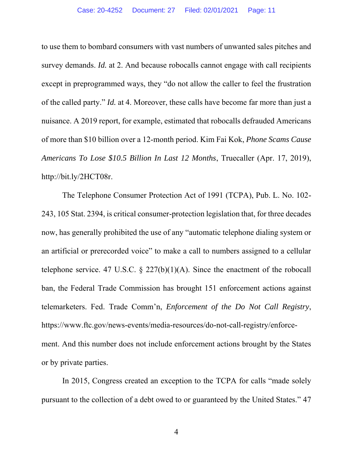<span id="page-10-5"></span>to use them to bombard consumers with vast numbers of unwanted sales pitches and survey demands. *Id.* at 2. And because robocalls cannot engage with call recipients except in preprogrammed ways, they "do not allow the caller to feel the frustration of the called party." *Id.* at 4. Moreover, these calls have become far more than just a nuisance. A 2019 report, for example, estimated that robocalls defrauded Americans of more than \$10 billion over a 12-month period. Kim Fai Kok, *Phone Scams Cause Americans To Lose \$10.5 Billion In Last 12 Months*, Truecaller (Apr. 17, 2019), http://bit.ly/2HCT08r.

<span id="page-10-4"></span><span id="page-10-2"></span><span id="page-10-0"></span>The Telephone Consumer Protection Act of 1991 (TCPA), Pub. L. No. 102- 243, 105 Stat. 2394, is critical consumer-protection legislation that, for three decades now, has generally prohibited the use of any "automatic telephone dialing system or an artificial or prerecorded voice" to make a call to numbers assigned to a cellular telephone service. 47 U.S.C.  $\S$  227(b)(1)(A). Since the enactment of the robocall ban, the Federal Trade Commission has brought 151 enforcement actions against telemarketers. Fed. Trade Comm'n, *Enforcement of the Do Not Call Registry*, [https://www.ftc.gov/news-events/media-resources/do-not-call-registry/enforce](https://www.ftc.gov/news-events/media-resources/do-not-call-registry/‌enforcement)[ment.](https://www.ftc.gov/news-events/media-resources/do-not-call-registry/‌enforcement) And this number does not include enforcement actions brought by the States or by private parties.

<span id="page-10-3"></span><span id="page-10-1"></span>In 2015, Congress created an exception to the TCPA for calls "made solely pursuant to the collection of a debt owed to or guaranteed by the United States." 47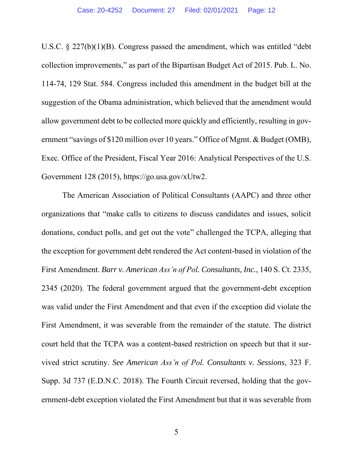<span id="page-11-1"></span>U.S.C. § 227(b)(1)(B). Congress passed the amendment, which was entitled "debt collection improvements," as part of the Bipartisan Budget Act of 2015. Pub. L. No. 114-74, 129 Stat. 584. Congress included this amendment in the budget bill at the suggestion of the Obama administration, which believed that the amendment would allow government debt to be collected more quickly and efficiently, resulting in government "savings of \$120 million over 10 years." Office of Mgmt. & Budget (OMB), Exec. Office of the President, Fiscal Year 2016: Analytical Perspectives of the U.S. Government 128 (2015), https://go.usa.gov/xUtw2.

<span id="page-11-2"></span><span id="page-11-0"></span>The American Association of Political Consultants (AAPC) and three other organizations that "make calls to citizens to discuss candidates and issues, solicit donations, conduct polls, and get out the vote" challenged the TCPA, alleging that the exception for government debt rendered the Act content-based in violation of the First Amendment. *Barr v. American Ass'n of Pol. Consultants, Inc.*, 140 S. Ct. 2335, 2345 (2020). The federal government argued that the government-debt exception was valid under the First Amendment and that even if the exception did violate the First Amendment, it was severable from the remainder of the statute. The district court held that the TCPA was a content-based restriction on speech but that it survived strict scrutiny. *See American Ass'n of Pol. Consultants v. Sessions*, 323 F. Supp. 3d 737 (E.D.N.C. 2018). The Fourth Circuit reversed, holding that the government-debt exception violated the First Amendment but that it was severable from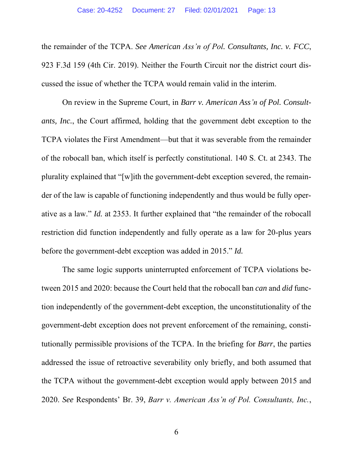<span id="page-12-0"></span>the remainder of the TCPA. *See American Ass'n of Pol. Consultants, Inc. v. FCC*, 923 F.3d 159 (4th Cir. 2019). Neither the Fourth Circuit nor the district court discussed the issue of whether the TCPA would remain valid in the interim.

On review in the Supreme Court, in *Barr v. American Ass'n of Pol. Consultants, Inc.*, the Court affirmed, holding that the government debt exception to the TCPA violates the First Amendment—but that it was severable from the remainder of the robocall ban, which itself is perfectly constitutional. 140 S. Ct. at 2343. The plurality explained that "[w]ith the government-debt exception severed, the remainder of the law is capable of functioning independently and thus would be fully operative as a law." *Id.* at 2353. It further explained that "the remainder of the robocall restriction did function independently and fully operate as a law for 20-plus years before the government-debt exception was added in 2015." *Id.* 

The same logic supports uninterrupted enforcement of TCPA violations between 2015 and 2020: because the Court held that the robocall ban *can* and *did* function independently of the government-debt exception, the unconstitutionality of the government-debt exception does not prevent enforcement of the remaining, constitutionally permissible provisions of the TCPA. In the briefing for *Barr*, the parties addressed the issue of retroactive severability only briefly, and both assumed that the TCPA without the government-debt exception would apply between 2015 and 2020. *See* Respondents' Br. 39, *Barr v. American Ass'n of Pol. Consultants, Inc.*,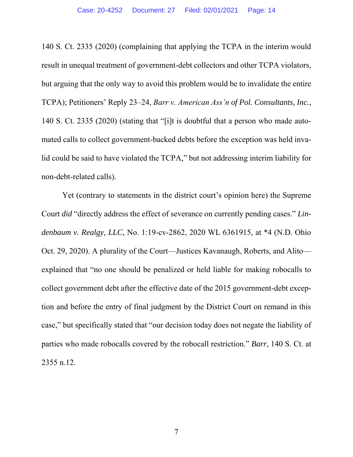140 S. Ct. 2335 (2020) (complaining that applying the TCPA in the interim would result in unequal treatment of government-debt collectors and other TCPA violators, but arguing that the only way to avoid this problem would be to invalidate the entire TCPA); Petitioners' Reply 23–24, *Barr v. American Ass'n of Pol. Consultants, Inc.*, 140 S. Ct. 2335 (2020) (stating that "[i]t is doubtful that a person who made automated calls to collect government-backed debts before the exception was held invalid could be said to have violated the TCPA," but not addressing interim liability for non-debt-related calls).

Yet (contrary to statements in the district court's opinion here) the Supreme Court *did* "directly address the effect of severance on currently pending cases." *Lindenbaum v. Realgy, LLC*, No. 1:19-cv-2862, 2020 WL 6361915, at \*4 (N.D. Ohio Oct. 29, 2020). A plurality of the Court—Justices Kavanaugh, Roberts, and Alito explained that "no one should be penalized or held liable for making robocalls to collect government debt after the effective date of the 2015 government-debt exception and before the entry of final judgment by the District Court on remand in this case," but specifically stated that "our decision today does not negate the liability of parties who made robocalls covered by the robocall restriction." *Barr*, 140 S. Ct. at 2355 n.12.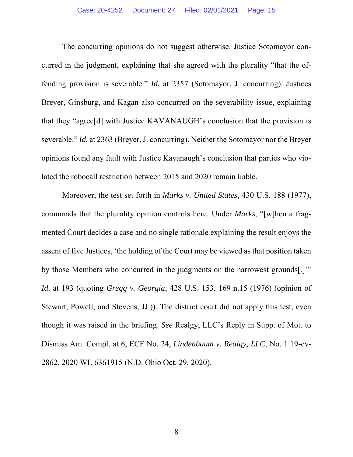The concurring opinions do not suggest otherwise. Justice Sotomayor concurred in the judgment, explaining that she agreed with the plurality "that the offending provision is severable." *Id.* at 2357 (Sotomayor, J. concurring). Justices Breyer, Ginsburg, and Kagan also concurred on the severability issue, explaining that they "agree[d] with Justice KAVANAUGH's conclusion that the provision is severable." *Id.* at 2363 (Breyer, J. concurring). Neither the Sotomayor nor the Breyer opinions found any fault with Justice Kavanaugh's conclusion that parties who violated the robocall restriction between 2015 and 2020 remain liable.

<span id="page-14-1"></span><span id="page-14-0"></span>Moreover, the test set forth in *Marks v. United States*, 430 U.S. 188 (1977), commands that the plurality opinion controls here. Under *Marks*, "[w]hen a fragmented Court decides a case and no single rationale explaining the result enjoys the assent of five Justices, 'the holding of the Court may be viewed as that position taken by those Members who concurred in the judgments on the narrowest grounds[.]'" *Id.* at 193 (quoting *Gregg v. Georgia*, 428 U.S. 153, 169 n.15 (1976) (opinion of Stewart, Powell, and Stevens, JJ.)). The district court did not apply this test, even though it was raised in the briefing. *See* Realgy, LLC's Reply in Supp. of Mot. to Dismiss Am. Compl. at 6, ECF No. 24, *Lindenbaum v. Realgy, LLC*, No. 1:19-cv-2862, 2020 WL 6361915 (N.D. Ohio Oct. 29, 2020).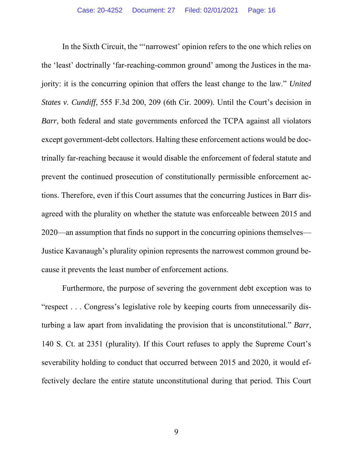<span id="page-15-0"></span>In the Sixth Circuit, the "'narrowest' opinion refers to the one which relies on the 'least' doctrinally 'far-reaching-common ground' among the Justices in the majority: it is the concurring opinion that offers the least change to the law." *United States v. Cundiff*, 555 F.3d 200, 209 (6th Cir. 2009). Until the Court's decision in *Barr*, both federal and state governments enforced the TCPA against all violators except government-debt collectors. Halting these enforcement actions would be doctrinally far-reaching because it would disable the enforcement of federal statute and prevent the continued prosecution of constitutionally permissible enforcement actions. Therefore, even if this Court assumes that the concurring Justices in Barr disagreed with the plurality on whether the statute was enforceable between 2015 and 2020—an assumption that finds no support in the concurring opinions themselves— Justice Kavanaugh's plurality opinion represents the narrowest common ground because it prevents the least number of enforcement actions.

Furthermore, the purpose of severing the government debt exception was to "respect . . . Congress's legislative role by keeping courts from unnecessarily disturbing a law apart from invalidating the provision that is unconstitutional." *Barr*, 140 S. Ct. at 2351 (plurality). If this Court refuses to apply the Supreme Court's severability holding to conduct that occurred between 2015 and 2020, it would effectively declare the entire statute unconstitutional during that period. This Court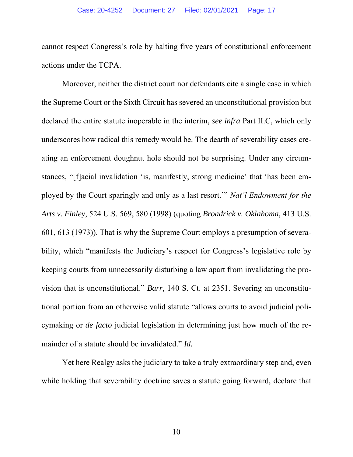cannot respect Congress's role by halting five years of constitutional enforcement actions under the TCPA.

<span id="page-16-1"></span><span id="page-16-0"></span>Moreover, neither the district court nor defendants cite a single case in which the Supreme Court or the Sixth Circuit has severed an unconstitutional provision but declared the entire statute inoperable in the interim, *see infra* Part II.C, which only underscores how radical this remedy would be. The dearth of severability cases creating an enforcement doughnut hole should not be surprising. Under any circumstances, "[f]acial invalidation 'is, manifestly, strong medicine' that 'has been employed by the Court sparingly and only as a last resort.'" *Nat'l Endowment for the Arts v. Finley*, 524 U.S. 569, 580 (1998) (quoting *Broadrick v. Oklahoma*, 413 U.S. 601, 613 (1973)). That is why the Supreme Court employs a presumption of severability, which "manifests the Judiciary's respect for Congress's legislative role by keeping courts from unnecessarily disturbing a law apart from invalidating the provision that is unconstitutional." *Barr*, 140 S. Ct. at 2351. Severing an unconstitutional portion from an otherwise valid statute "allows courts to avoid judicial policymaking or *de facto* judicial legislation in determining just how much of the remainder of a statute should be invalidated." *Id.*

Yet here Realgy asks the judiciary to take a truly extraordinary step and, even while holding that severability doctrine saves a statute going forward, declare that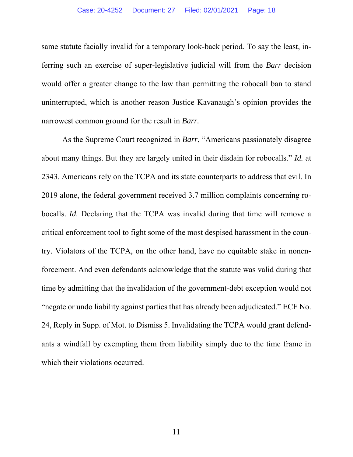same statute facially invalid for a temporary look-back period. To say the least, inferring such an exercise of super-legislative judicial will from the *Barr* decision would offer a greater change to the law than permitting the robocall ban to stand uninterrupted, which is another reason Justice Kavanaugh's opinion provides the narrowest common ground for the result in *Barr.*

As the Supreme Court recognized in *Barr*, "Americans passionately disagree about many things. But they are largely united in their disdain for robocalls." *Id.* at 2343. Americans rely on the TCPA and its state counterparts to address that evil. In 2019 alone, the federal government received 3.7 million complaints concerning robocalls. *Id.* Declaring that the TCPA was invalid during that time will remove a critical enforcement tool to fight some of the most despised harassment in the country. Violators of the TCPA, on the other hand, have no equitable stake in nonenforcement. And even defendants acknowledge that the statute was valid during that time by admitting that the invalidation of the government-debt exception would not "negate or undo liability against parties that has already been adjudicated." ECF No. 24, Reply in Supp. of Mot. to Dismiss 5. Invalidating the TCPA would grant defendants a windfall by exempting them from liability simply due to the time frame in which their violations occurred.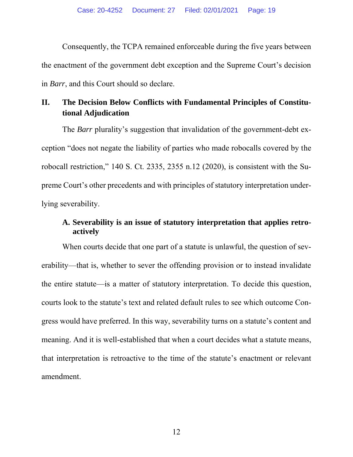Consequently, the TCPA remained enforceable during the five years between the enactment of the government debt exception and the Supreme Court's decision in *Barr*, and this Court should so declare.

### **II. The Decision Below Conflicts with Fundamental Principles of Constitutional Adjudication**

The *Barr* plurality's suggestion that invalidation of the government-debt exception "does not negate the liability of parties who made robocalls covered by the robocall restriction," 140 S. Ct. 2335, 2355 n.12 (2020), is consistent with the Supreme Court's other precedents and with principles of statutory interpretation underlying severability.

### **A. Severability is an issue of statutory interpretation that applies retroactively**

When courts decide that one part of a statute is unlawful, the question of severability—that is, whether to sever the offending provision or to instead invalidate the entire statute—is a matter of statutory interpretation. To decide this question, courts look to the statute's text and related default rules to see which outcome Congress would have preferred. In this way, severability turns on a statute's content and meaning. And it is well-established that when a court decides what a statute means, that interpretation is retroactive to the time of the statute's enactment or relevant amendment.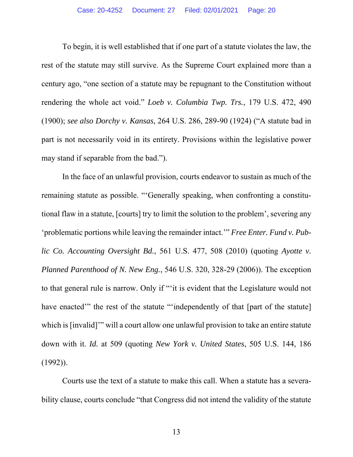<span id="page-19-3"></span>To begin, it is well established that if one part of a statute violates the law, the rest of the statute may still survive. As the Supreme Court explained more than a century ago, "one section of a statute may be repugnant to the Constitution without rendering the whole act void." *Loeb v. Columbia Twp. Trs.*, 179 U.S. 472, 490 (1900); *see also Dorchy v. Kansas*, 264 U.S. 286, 289-90 (1924) ("A statute bad in part is not necessarily void in its entirety. Provisions within the legislative power may stand if separable from the bad.").

<span id="page-19-2"></span><span id="page-19-1"></span><span id="page-19-0"></span>In the face of an unlawful provision, courts endeavor to sustain as much of the remaining statute as possible. "'Generally speaking, when confronting a constitutional flaw in a statute, [courts] try to limit the solution to the problem', severing any 'problematic portions while leaving the remainder intact.'" *Free Enter. Fund v. Public Co. Accounting Oversight Bd.*, 561 U.S. 477, 508 (2010) (quoting *Ayotte v. Planned Parenthood of N. New Eng.*, 546 U.S. 320, 328-29 (2006)). The exception to that general rule is narrow. Only if "'it is evident that the Legislature would not have enacted'" the rest of the statute "'independently of that [part of the statute] which is [invalid]" will a court allow one unlawful provision to take an entire statute down with it. *Id.* at 509 (quoting *New York v. United States*, 505 U.S. 144, 186  $(1992)$ ).

<span id="page-19-4"></span>Courts use the text of a statute to make this call. When a statute has a severability clause, courts conclude "that Congress did not intend the validity of the statute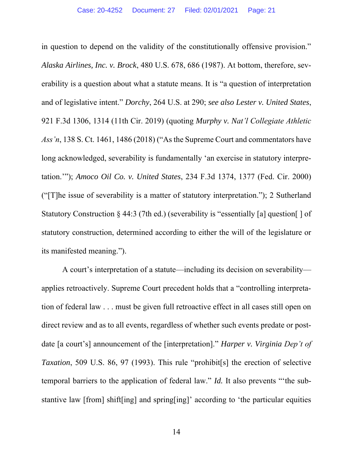<span id="page-20-5"></span><span id="page-20-4"></span><span id="page-20-2"></span><span id="page-20-0"></span>in question to depend on the validity of the constitutionally offensive provision." *Alaska Airlines, Inc. v. Brock*, 480 U.S. 678, 686 (1987). At bottom, therefore, severability is a question about what a statute means. It is "a question of interpretation and of legislative intent." *Dorchy*, 264 U.S. at 290; *see also Lester v. United States*, 921 F.3d 1306, 1314 (11th Cir. 2019) (quoting *Murphy v. Nat'l Collegiate Athletic Ass'n*, 138 S. Ct. 1461, 1486 (2018) ("As the Supreme Court and commentators have long acknowledged, severability is fundamentally 'an exercise in statutory interpretation.'"); *Amoco Oil Co. v. United States*, 234 F.3d 1374, 1377 (Fed. Cir. 2000) ("[T]he issue of severability is a matter of statutory interpretation."); 2 Sutherland Statutory Construction § 44:3 (7th ed.) (severability is "essentially [a] question[ ] of statutory construction, determined according to either the will of the legislature or its manifested meaning.").

<span id="page-20-6"></span><span id="page-20-3"></span><span id="page-20-1"></span>A court's interpretation of a statute—including its decision on severability applies retroactively. Supreme Court precedent holds that a "controlling interpretation of federal law . . . must be given full retroactive effect in all cases still open on direct review and as to all events, regardless of whether such events predate or postdate [a court's] announcement of the [interpretation]." *Harper v. Virginia Dep't of Taxation*, 509 U.S. 86, 97 (1993). This rule "prohibit[s] the erection of selective temporal barriers to the application of federal law." *Id.* It also prevents "'the substantive law [from] shift[ing] and spring[ing]' according to 'the particular equities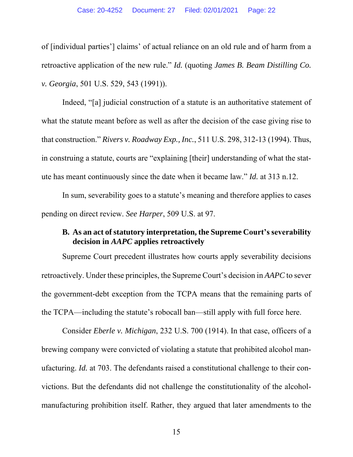<span id="page-21-2"></span><span id="page-21-1"></span>of [individual parties'] claims' of actual reliance on an old rule and of harm from a retroactive application of the new rule." *Id.* (quoting *James B. Beam Distilling Co. v. Georgia*, 501 U.S. 529, 543 (1991)).

<span id="page-21-3"></span>Indeed, "[a] judicial construction of a statute is an authoritative statement of what the statute meant before as well as after the decision of the case giving rise to that construction." *Rivers v. Roadway Exp., Inc.*, 511 U.S. 298, 312-13 (1994). Thus, in construing a statute, courts are "explaining [their] understanding of what the statute has meant continuously since the date when it became law." *Id.* at 313 n.12.

In sum, severability goes to a statute's meaning and therefore applies to cases pending on direct review. *See Harper*, 509 U.S. at 97.

#### **B. As an act of statutory interpretation, the Supreme Court's severability decision in** *AAPC* **applies retroactively**

Supreme Court precedent illustrates how courts apply severability decisions retroactively. Under these principles, the Supreme Court's decision in *AAPC* to sever the government-debt exception from the TCPA means that the remaining parts of the TCPA—including the statute's robocall ban—still apply with full force here.

<span id="page-21-0"></span>Consider *Eberle v. Michigan*, 232 U.S. 700 (1914). In that case, officers of a brewing company were convicted of violating a statute that prohibited alcohol manufacturing. *Id.* at 703. The defendants raised a constitutional challenge to their convictions. But the defendants did not challenge the constitutionality of the alcoholmanufacturing prohibition itself. Rather, they argued that later amendments to the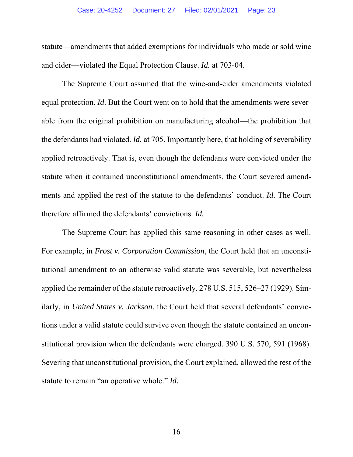<span id="page-22-0"></span>statute—amendments that added exemptions for individuals who made or sold wine and cider—violated the Equal Protection Clause. *Id.* at 703-04.

The Supreme Court assumed that the wine-and-cider amendments violated equal protection. *Id*. But the Court went on to hold that the amendments were severable from the original prohibition on manufacturing alcohol—the prohibition that the defendants had violated. *Id.* at 705. Importantly here, that holding of severability applied retroactively. That is, even though the defendants were convicted under the statute when it contained unconstitutional amendments, the Court severed amendments and applied the rest of the statute to the defendants' conduct. *Id*. The Court therefore affirmed the defendants' convictions. *Id.*

<span id="page-22-2"></span><span id="page-22-1"></span>The Supreme Court has applied this same reasoning in other cases as well. For example, in *Frost v. Corporation Commission*, the Court held that an unconstitutional amendment to an otherwise valid statute was severable, but nevertheless applied the remainder of the statute retroactively. 278 U.S. 515, 526–27 (1929). Similarly, in *United States v. Jackson*, the Court held that several defendants' convictions under a valid statute could survive even though the statute contained an unconstitutional provision when the defendants were charged. 390 U.S. 570, 591 (1968). Severing that unconstitutional provision, the Court explained, allowed the rest of the statute to remain "an operative whole." *Id.*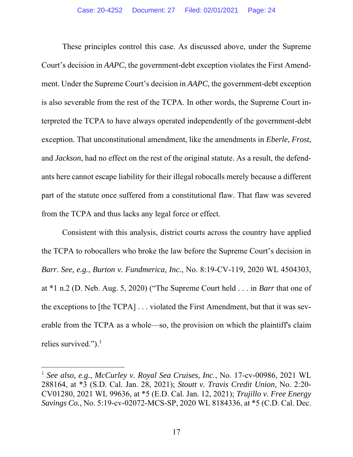These principles control this case. As discussed above, under the Supreme Court's decision in *AAPC*, the government-debt exception violates the First Amendment. Under the Supreme Court's decision in *AAPC*, the government-debt exception is also severable from the rest of the TCPA. In other words, the Supreme Court interpreted the TCPA to have always operated independently of the government-debt exception. That unconstitutional amendment, like the amendments in *Eberle*, *Frost*, and *Jackson*, had no effect on the rest of the original statute. As a result, the defendants here cannot escape liability for their illegal robocalls merely because a different part of the statute once suffered from a constitutional flaw. That flaw was severed from the TCPA and thus lacks any legal force or effect.

<span id="page-23-0"></span>Consistent with this analysis, district courts across the country have applied the TCPA to robocallers who broke the law before the Supreme Court's decision in *Barr*. *See, e.g.*, *Burton v. Fundmerica, Inc.*, No. 8:19-CV-119, 2020 WL 4504303, at \*1 n.2 (D. Neb. Aug. 5, 2020) ("The Supreme Court held . . . in *Barr* that one of the exceptions to [the TCPA] . . . violated the First Amendment, but that it was severable from the TCPA as a whole—so, the provision on which the plaintiff's claim relies survived.").<sup>1</sup>

<span id="page-23-3"></span><span id="page-23-2"></span><span id="page-23-1"></span><sup>1</sup> *See also, e.g.*, *McCurley v. Royal Sea Cruises, Inc.*, No. 17-cv-00986, 2021 WL 288164, at \*3 (S.D. Cal. Jan. 28, 2021); *Stoutt v. Travis Credit Union*, No. 2:20- CV01280, 2021 WL 99636, at \*5 (E.D. Cal. Jan. 12, 2021); *Trujillo v. Free Energy Savings Co.*, No. 5:19-cv-02072-MCS-SP, 2020 WL 8184336, at \*5 (C.D. Cal. Dec.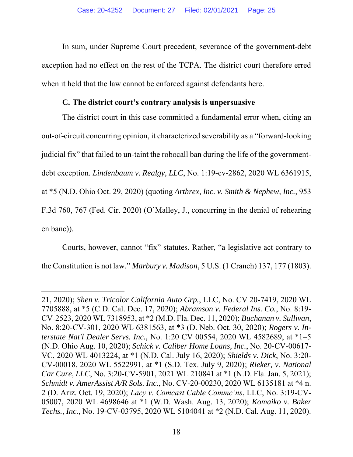In sum, under Supreme Court precedent, severance of the government-debt exception had no effect on the rest of the TCPA. The district court therefore erred when it held that the law cannot be enforced against defendants here.

#### <span id="page-24-1"></span>**C. The district court's contrary analysis is unpersuasive**

The district court in this case committed a fundamental error when, citing an out-of-circuit concurring opinion, it characterized severability as a "forward-looking judicial fix" that failed to un-taint the robocall ban during the life of the governmentdebt exception. *Lindenbaum v. Realgy, LLC*, No. 1:19-cv-2862, 2020 WL 6361915, at \*5 (N.D. Ohio Oct. 29, 2020) (quoting *Arthrex, Inc. v. Smith & Nephew, Inc.*, 953 F.3d 760, 767 (Fed. Cir. 2020) (O'Malley, J., concurring in the denial of rehearing en banc)).

<span id="page-24-5"></span>Courts, however, cannot "fix" statutes. Rather, "a legislative act contrary to the Constitution is not law." *Marbury v. Madison*, 5 U.S. (1 Cranch) 137, 177 (1803).

<span id="page-24-10"></span><span id="page-24-9"></span><span id="page-24-8"></span><span id="page-24-7"></span><span id="page-24-6"></span><span id="page-24-4"></span><span id="page-24-3"></span><span id="page-24-2"></span><span id="page-24-0"></span><sup>21, 2020);</sup> *Shen v. Tricolor California Auto Grp.*, LLC, No. CV 20-7419, 2020 WL 7705888, at \*5 (C.D. Cal. Dec. 17, 2020); *Abramson v. Federal Ins. Co.*, No. 8:19- CV-2523, 2020 WL 7318953, at \*2 (M.D. Fla. Dec. 11, 2020); *Buchanan v. Sullivan*, No. 8:20-CV-301, 2020 WL 6381563, at \*3 (D. Neb. Oct. 30, 2020); *Rogers v. Interstate Nat'l Dealer Servs. Inc.*, No. 1:20 CV 00554, 2020 WL 4582689, at \*1–5 (N.D. Ohio Aug. 10, 2020); *Schick v. Caliber Home Loans, Inc.*, No. 20-CV-00617- VC, 2020 WL 4013224, at \*1 (N.D. Cal. July 16, 2020); *Shields v. Dick*, No. 3:20- CV-00018, 2020 WL 5522991, at \*1 (S.D. Tex. July 9, 2020); *Rieker, v. National Car Cure, LLC*, No. 3:20-CV-5901, 2021 WL 210841 at \*1 (N.D. Fla. Jan. 5, 2021); *Schmidt v. AmerAssist A/R Sols. Inc.*, No. CV-20-00230, 2020 WL 6135181 at \*4 n. 2 (D. Ariz. Oct. 19, 2020); *Lacy v. Comcast Cable Commc'ns*, LLC, No. 3:19-CV-05007, 2020 WL 4698646 at \*1 (W.D. Wash. Aug. 13, 2020); *Komaiko v. Baker Techs., Inc.*, No. 19-CV-03795, 2020 WL 5104041 at \*2 (N.D. Cal. Aug. 11, 2020).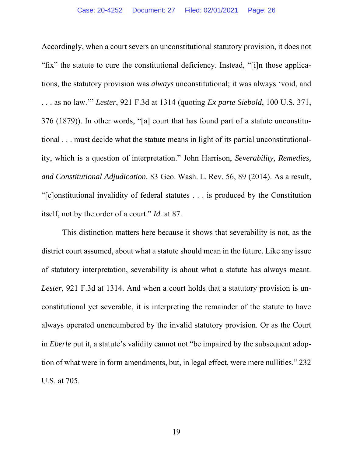<span id="page-25-2"></span><span id="page-25-1"></span>Accordingly, when a court severs an unconstitutional statutory provision, it does not "fix" the statute to cure the constitutional deficiency. Instead, "[i]n those applications, the statutory provision was *always* unconstitutional; it was always 'void, and . . . as no law.'" *Lester*, 921 F.3d at 1314 (quoting *Ex parte Siebold*, 100 U.S. 371, 376 (1879)). In other words, "[a] court that has found part of a statute unconstitutional . . . must decide what the statute means in light of its partial unconstitutionality, which is a question of interpretation." John Harrison, *Severability, Remedies, and Constitutional Adjudication,* 83 Geo. Wash. L. Rev. 56, 89 (2014). As a result, "[c]onstitutional invalidity of federal statutes . . . is produced by the Constitution itself, not by the order of a court." *Id.* at 87.

<span id="page-25-3"></span><span id="page-25-0"></span>This distinction matters here because it shows that severability is not, as the district court assumed, about what a statute should mean in the future. Like any issue of statutory interpretation, severability is about what a statute has always meant. *Lester*, 921 F.3d at 1314. And when a court holds that a statutory provision is unconstitutional yet severable, it is interpreting the remainder of the statute to have always operated unencumbered by the invalid statutory provision. Or as the Court in *Eberle* put it, a statute's validity cannot not "be impaired by the subsequent adoption of what were in form amendments, but, in legal effect, were mere nullities." 232 U.S. at 705.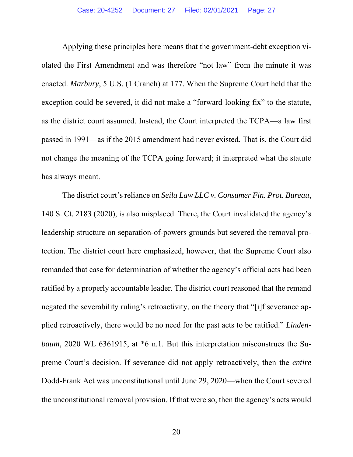<span id="page-26-0"></span>Applying these principles here means that the government-debt exception violated the First Amendment and was therefore "not law" from the minute it was enacted. *Marbury*, 5 U.S. (1 Cranch) at 177. When the Supreme Court held that the exception could be severed, it did not make a "forward-looking fix" to the statute, as the district court assumed. Instead, the Court interpreted the TCPA—a law first passed in 1991—as if the 2015 amendment had never existed. That is, the Court did not change the meaning of the TCPA going forward; it interpreted what the statute has always meant.

<span id="page-26-1"></span>The district court's reliance on *Seila Law LLC v. Consumer Fin. Prot. Bureau*, 140 S. Ct. 2183 (2020), is also misplaced. There, the Court invalidated the agency's leadership structure on separation-of-powers grounds but severed the removal protection. The district court here emphasized, however, that the Supreme Court also remanded that case for determination of whether the agency's official acts had been ratified by a properly accountable leader. The district court reasoned that the remand negated the severability ruling's retroactivity, on the theory that "[i]f severance applied retroactively, there would be no need for the past acts to be ratified." *Lindenbaum*, 2020 WL 6361915, at \*6 n.1. But this interpretation misconstrues the Supreme Court's decision. If severance did not apply retroactively, then the *entire* Dodd-Frank Act was unconstitutional until June 29, 2020—when the Court severed the unconstitutional removal provision. If that were so, then the agency's acts would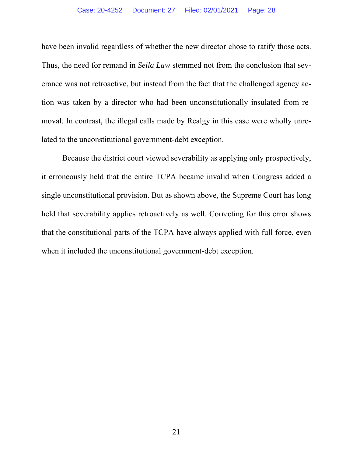have been invalid regardless of whether the new director chose to ratify those acts. Thus, the need for remand in *Seila Law* stemmed not from the conclusion that severance was not retroactive, but instead from the fact that the challenged agency action was taken by a director who had been unconstitutionally insulated from removal. In contrast, the illegal calls made by Realgy in this case were wholly unrelated to the unconstitutional government-debt exception.

Because the district court viewed severability as applying only prospectively, it erroneously held that the entire TCPA became invalid when Congress added a single unconstitutional provision. But as shown above, the Supreme Court has long held that severability applies retroactively as well. Correcting for this error shows that the constitutional parts of the TCPA have always applied with full force, even when it included the unconstitutional government-debt exception.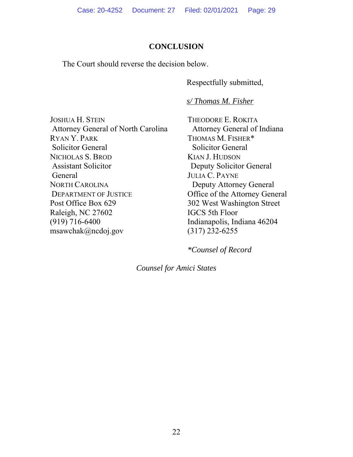### **CONCLUSION**

The Court should reverse the decision below.

Respectfully submitted,

*s/ Thomas M. Fisher*

JOSHUA H. STEIN Attorney General of North Carolina RYAN Y. PARK Solicitor General NICHOLAS S. BROD Assistant Solicitor General NORTH CAROLINA DEPARTMENT OF JUSTICE Post Office Box 629 Raleigh, NC 27602 (919) 716-6400 msawchak@ncdoj.gov

THEODORE E. ROKITA Attorney General of Indiana THOMAS M. FISHER\* Solicitor General KIAN J. HUDSON Deputy Solicitor General JULIA C. PAYNE Deputy Attorney General Office of the Attorney General 302 West Washington Street IGCS 5th Floor Indianapolis, Indiana 46204 (317) 232-6255

*\*Counsel of Record*

*Counsel for Amici States*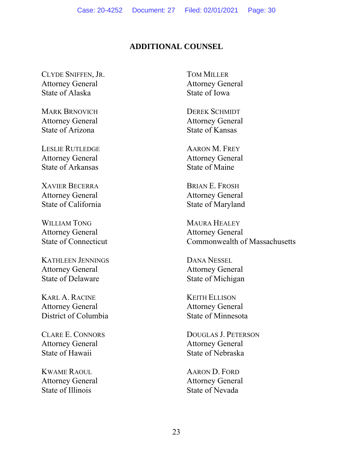### **ADDITIONAL COUNSEL**

CLYDE SNIFFEN, JR. Attorney General State of Alaska

MARK BRNOVICH Attorney General State of Arizona

LESLIE RUTLEDGE Attorney General State of Arkansas

XAVIER BECERRA Attorney General State of California

WILLIAM TONG Attorney General State of Connecticut

KATHLEEN JENNINGS Attorney General State of Delaware

KARL A. RACINE Attorney General District of Columbia

CLARE E. CONNORS Attorney General State of Hawaii

KWAME RAOUL Attorney General State of Illinois

TOM MILLER Attorney General State of Iowa

DEREK SCHMIDT Attorney General State of Kansas

AARON M. FREY Attorney General State of Maine

BRIAN E. FROSH Attorney General State of Maryland

MAURA HEALEY Attorney General Commonwealth of Massachusetts

DANA NESSEL Attorney General State of Michigan

KEITH ELLISON Attorney General State of Minnesota

DOUGLAS J. PETERSON Attorney General State of Nebraska

AARON D. FORD Attorney General State of Nevada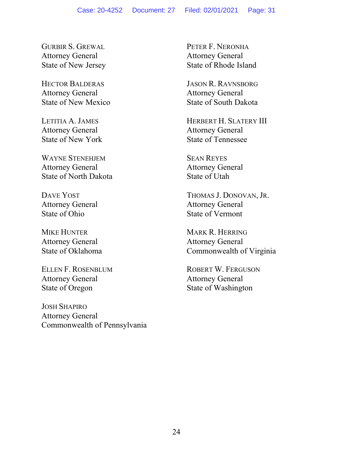GURBIR S. GREWAL Attorney General State of New Jersey

HECTOR BALDERAS Attorney General State of New Mexico

LETITIA A. JAMES Attorney General State of New York

WAYNE STENEHJEM Attorney General State of North Dakota

DAVE YOST Attorney General State of Ohio

MIKE HUNTER Attorney General State of Oklahoma

ELLEN F. ROSENBLUM Attorney General State of Oregon

JOSH SHAPIRO Attorney General Commonwealth of Pennsylvania PETER F. NERONHA Attorney General State of Rhode Island

JASON R. RAVNSBORG Attorney General State of South Dakota

HERBERT H. SLATERY III Attorney General State of Tennessee

SEAN REYES Attorney General State of Utah

THOMAS J. DONOVAN, JR. Attorney General State of Vermont

MARK R. HERRING Attorney General Commonwealth of Virginia

ROBERT W. FERGUSON Attorney General State of Washington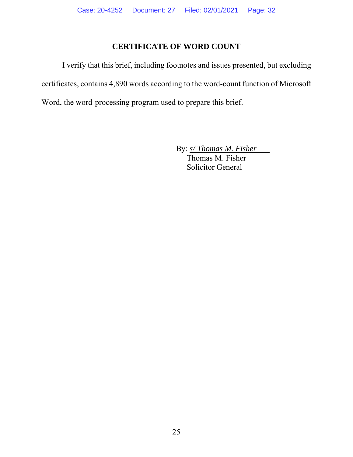### **CERTIFICATE OF WORD COUNT**

I verify that this brief, including footnotes and issues presented, but excluding certificates, contains 4,890 words according to the word-count function of Microsoft Word, the word-processing program used to prepare this brief.

By: *s/ Thomas M. Fisher*

Thomas M. Fisher Solicitor General